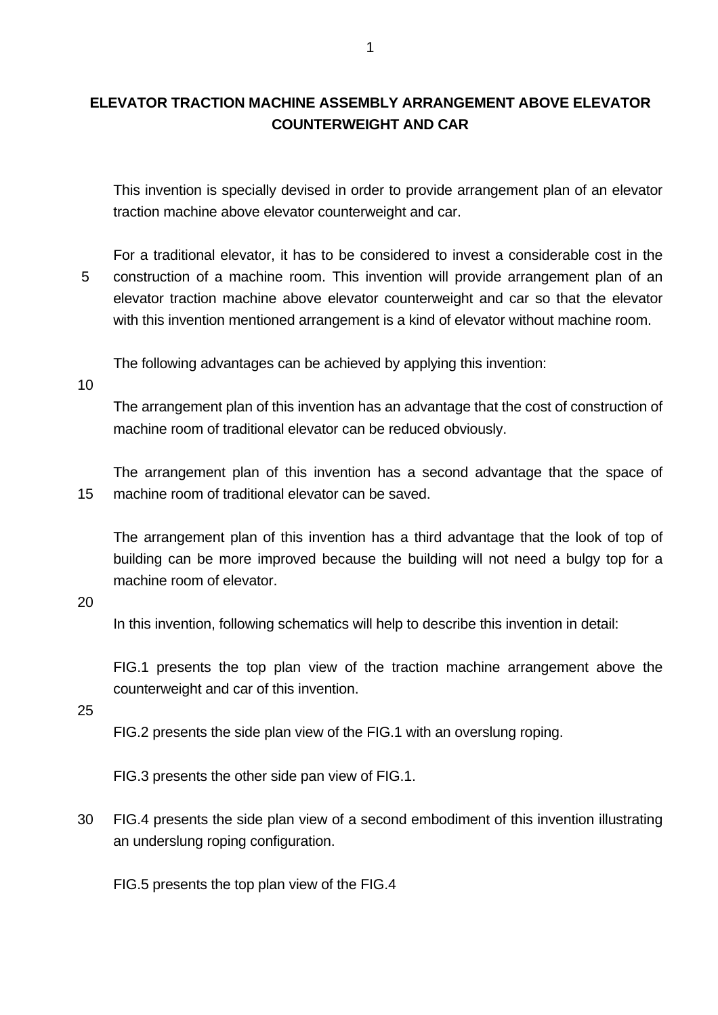## **ELEVATOR TRACTION MACHINE ASSEMBLY ARRANGEMENT ABOVE ELEVATOR COUNTERWEIGHT AND CAR**

This invention is specially devised in order to provide arrangement plan of an elevator traction machine above elevator counterweight and car.

5 For a traditional elevator, it has to be considered to invest a considerable cost in the construction of a machine room. This invention will provide arrangement plan of an elevator traction machine above elevator counterweight and car so that the elevator with this invention mentioned arrangement is a kind of elevator without machine room.

The following advantages can be achieved by applying this invention:

10

The arrangement plan of this invention has an advantage that the cost of construction of machine room of traditional elevator can be reduced obviously.

15 The arrangement plan of this invention has a second advantage that the space of machine room of traditional elevator can be saved.

The arrangement plan of this invention has a third advantage that the look of top of building can be more improved because the building will not need a bulgy top for a machine room of elevator.

20

In this invention, following schematics will help to describe this invention in detail:

FIG.1 presents the top plan view of the traction machine arrangement above the counterweight and car of this invention.

25

FIG.2 presents the side plan view of the FIG.1 with an overslung roping.

FIG.3 presents the other side pan view of FIG.1.

30 FIG.4 presents the side plan view of a second embodiment of this invention illustrating an underslung roping configuration.

FIG.5 presents the top plan view of the FIG.4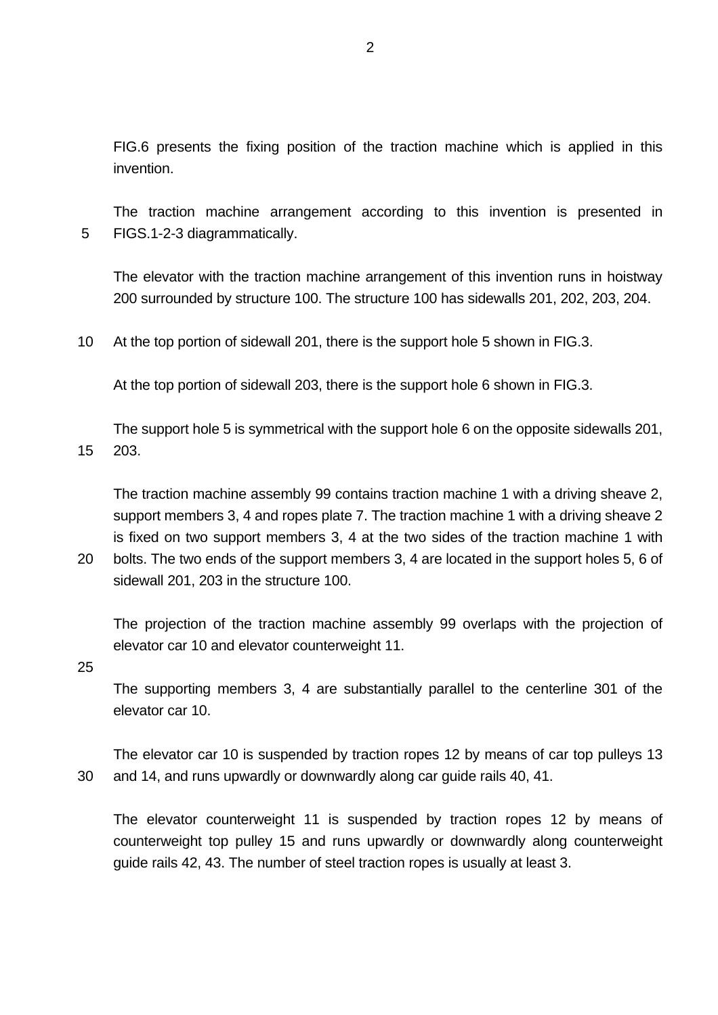FIG.6 presents the fixing position of the traction machine which is applied in this invention.

5 The traction machine arrangement according to this invention is presented in FIGS.1-2-3 diagrammatically.

The elevator with the traction machine arrangement of this invention runs in hoistway 200 surrounded by structure 100. The structure 100 has sidewalls 201, 202, 203, 204.

10 At the top portion of sidewall 201, there is the support hole 5 shown in FIG.3.

At the top portion of sidewall 203, there is the support hole 6 shown in FIG.3.

15 The support hole 5 is symmetrical with the support hole 6 on the opposite sidewalls 201, 203.

The traction machine assembly 99 contains traction machine 1 with a driving sheave 2, support members 3, 4 and ropes plate 7. The traction machine 1 with a driving sheave 2 is fixed on two support members 3, 4 at the two sides of the traction machine 1 with

20 bolts. The two ends of the support members 3, 4 are located in the support holes 5, 6 of sidewall 201, 203 in the structure 100.

The projection of the traction machine assembly 99 overlaps with the projection of elevator car 10 and elevator counterweight 11.

25

The supporting members 3, 4 are substantially parallel to the centerline 301 of the elevator car 10.

30 The elevator car 10 is suspended by traction ropes 12 by means of car top pulleys 13 and 14, and runs upwardly or downwardly along car guide rails 40, 41.

The elevator counterweight 11 is suspended by traction ropes 12 by means of counterweight top pulley 15 and runs upwardly or downwardly along counterweight guide rails 42, 43. The number of steel traction ropes is usually at least 3.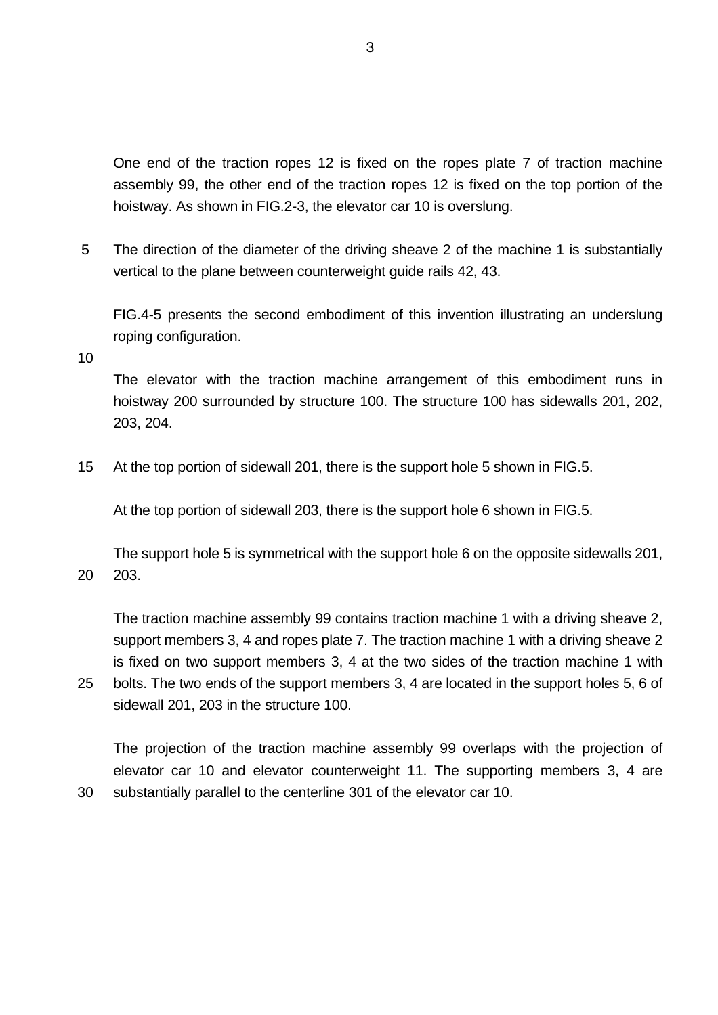One end of the traction ropes 12 is fixed on the ropes plate 7 of traction machine assembly 99, the other end of the traction ropes 12 is fixed on the top portion of the hoistway. As shown in FIG.2-3, the elevator car 10 is overslung.

5 The direction of the diameter of the driving sheave 2 of the machine 1 is substantially vertical to the plane between counterweight guide rails 42, 43.

FIG.4-5 presents the second embodiment of this invention illustrating an underslung roping configuration.

10

25

30

The elevator with the traction machine arrangement of this embodiment runs in hoistway 200 surrounded by structure 100. The structure 100 has sidewalls 201, 202, 203, 204.

15 At the top portion of sidewall 201, there is the support hole 5 shown in FIG.5.

At the top portion of sidewall 203, there is the support hole 6 shown in FIG.5.

20 The support hole 5 is symmetrical with the support hole 6 on the opposite sidewalls 201, 203.

The traction machine assembly 99 contains traction machine 1 with a driving sheave 2, support members 3, 4 and ropes plate 7. The traction machine 1 with a driving sheave 2 is fixed on two support members 3, 4 at the two sides of the traction machine 1 with bolts. The two ends of the support members 3, 4 are located in the support holes 5, 6 of sidewall 201, 203 in the structure 100.

The projection of the traction machine assembly 99 overlaps with the projection of elevator car 10 and elevator counterweight 11. The supporting members 3, 4 are substantially parallel to the centerline 301 of the elevator car 10.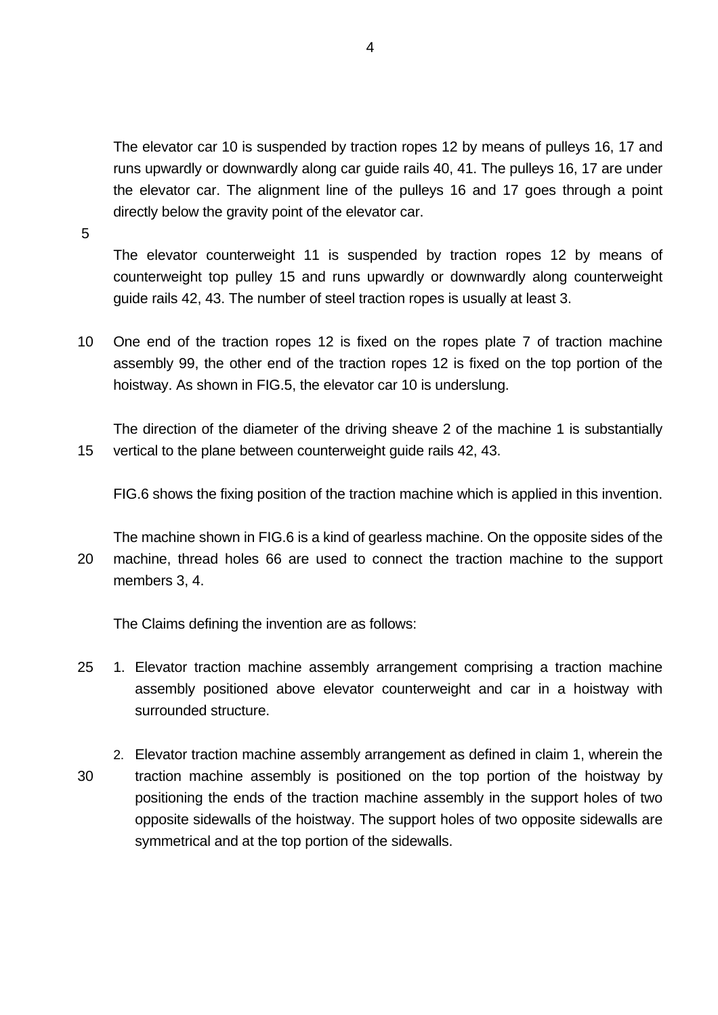The elevator car 10 is suspended by traction ropes 12 by means of pulleys 16, 17 and runs upwardly or downwardly along car guide rails 40, 41. The pulleys 16, 17 are under the elevator car. The alignment line of the pulleys 16 and 17 goes through a point directly below the gravity point of the elevator car.

5

The elevator counterweight 11 is suspended by traction ropes 12 by means of counterweight top pulley 15 and runs upwardly or downwardly along counterweight guide rails 42, 43. The number of steel traction ropes is usually at least 3.

10 One end of the traction ropes 12 is fixed on the ropes plate 7 of traction machine assembly 99, the other end of the traction ropes 12 is fixed on the top portion of the hoistway. As shown in FIG.5, the elevator car 10 is underslung.

15 The direction of the diameter of the driving sheave 2 of the machine 1 is substantially vertical to the plane between counterweight guide rails 42, 43.

FIG.6 shows the fixing position of the traction machine which is applied in this invention.

20 The machine shown in FIG.6 is a kind of gearless machine. On the opposite sides of the machine, thread holes 66 are used to connect the traction machine to the support members 3, 4.

The Claims defining the invention are as follows:

- 25 1. Elevator traction machine assembly arrangement comprising a traction machine assembly positioned above elevator counterweight and car in a hoistway with surrounded structure.
- 30 2. Elevator traction machine assembly arrangement as defined in claim 1, wherein the traction machine assembly is positioned on the top portion of the hoistway by positioning the ends of the traction machine assembly in the support holes of two opposite sidewalls of the hoistway. The support holes of two opposite sidewalls are symmetrical and at the top portion of the sidewalls.